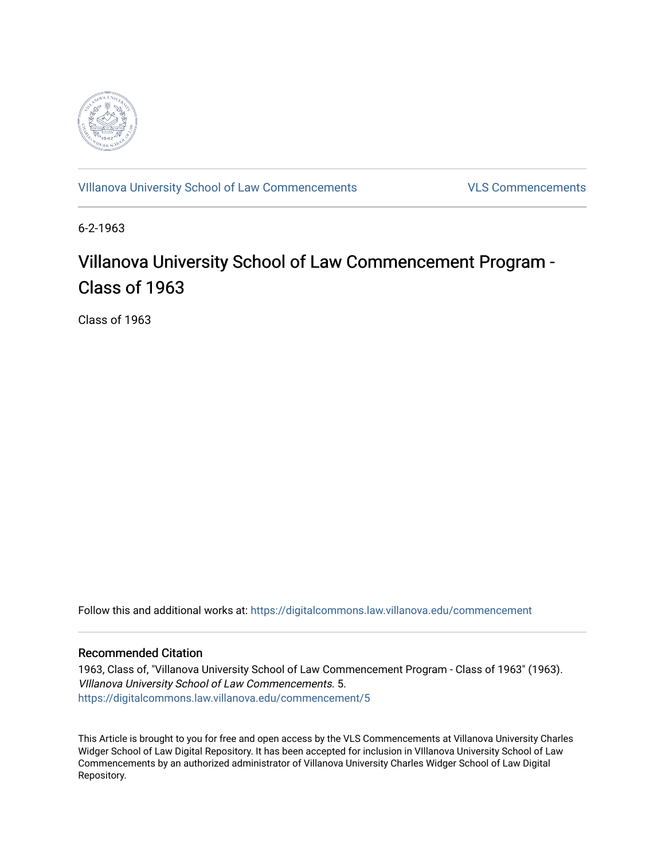

[VIllanova University School of Law Commencements](https://digitalcommons.law.villanova.edu/commencement) [VLS Commencements](https://digitalcommons.law.villanova.edu/vlscommencements) 

6-2-1963

# Villanova University School of Law Commencement Program -Class of 1963

Class of 1963

Follow this and additional works at: [https://digitalcommons.law.villanova.edu/commencement](https://digitalcommons.law.villanova.edu/commencement?utm_source=digitalcommons.law.villanova.edu%2Fcommencement%2F5&utm_medium=PDF&utm_campaign=PDFCoverPages)

## Recommended Citation

1963, Class of, "Villanova University School of Law Commencement Program - Class of 1963" (1963). VIllanova University School of Law Commencements. 5. [https://digitalcommons.law.villanova.edu/commencement/5](https://digitalcommons.law.villanova.edu/commencement/5?utm_source=digitalcommons.law.villanova.edu%2Fcommencement%2F5&utm_medium=PDF&utm_campaign=PDFCoverPages) 

This Article is brought to you for free and open access by the VLS Commencements at Villanova University Charles Widger School of Law Digital Repository. It has been accepted for inclusion in VIllanova University School of Law Commencements by an authorized administrator of Villanova University Charles Widger School of Law Digital Repository.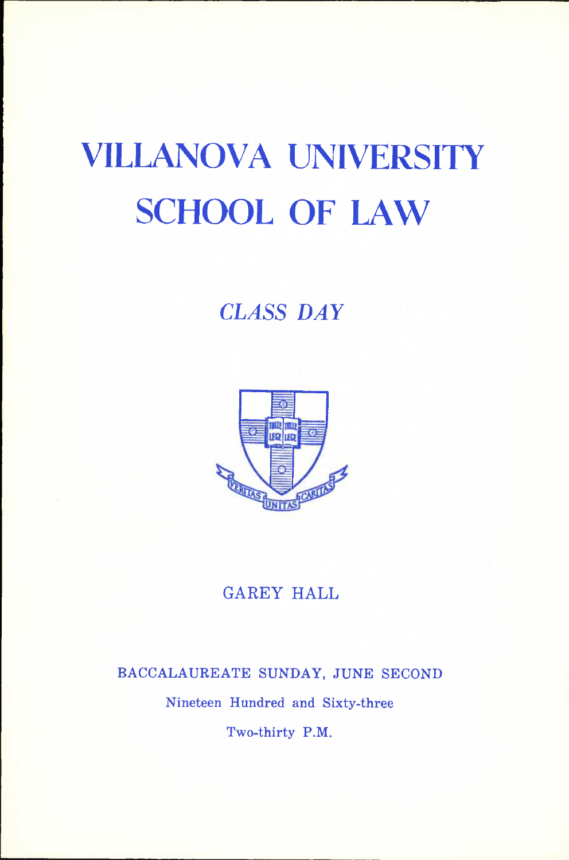# **VILLANOVA UNIVERSITY SCHOOL OF LAW**

## *CLASS DAY*



## **GAREY HALL**

# **BACCALAUREATE SUNDAY, JUNE SECOND Nineteen Hundred and Sixty-three Two-thirty P.M.**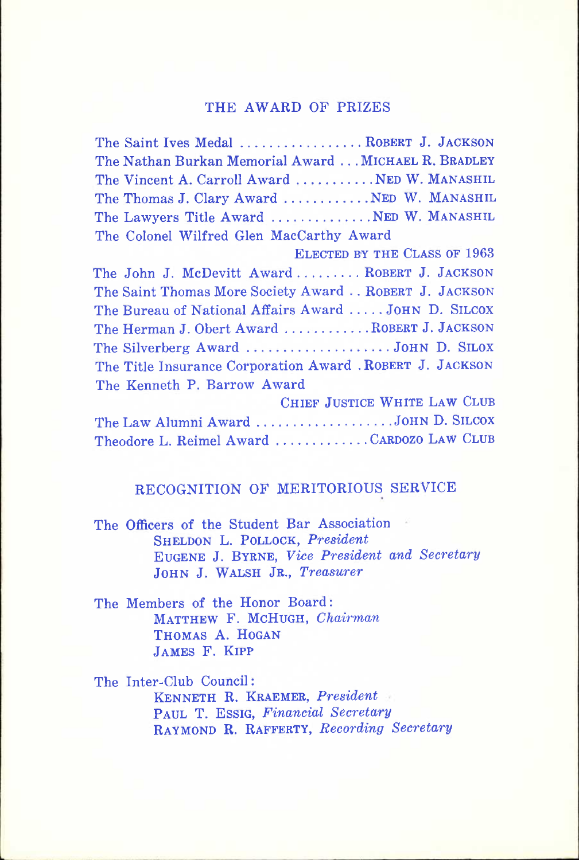#### **THE AWARD OF PRIZES**

| The Saint Ives Medal  ROBERT J. JACKSON                   |
|-----------------------------------------------------------|
| The Nathan Burkan Memorial Award MICHAEL R. BRADLEY       |
| The Vincent A. Carroll Award  NED W. MANASHIL             |
| The Thomas J. Clary Award  NED W. MANASHIL                |
| The Lawyers Title Award  NED W. MANASHIL                  |
| The Colonel Wilfred Glen MacCarthy Award                  |
| ELECTED BY THE CLASS OF 1963                              |
| The John J. McDevitt Award ROBERT J. JACKSON              |
| The Saint Thomas More Society Award ROBERT J. JACKSON     |
| The Bureau of National Affairs Award  JOHN D. SILCOX      |
| The Herman J. Obert Award  ROBERT J. JACKSON              |
| The Silverberg Award JOHN D. SILOX                        |
| The Title Insurance Corporation Award . ROBERT J. JACKSON |
| The Kenneth P. Barrow Award                               |
| CHIEF JUSTICE WHITE LAW CLUB                              |
| The Law Alumni Award JOHN D. SILCOX                       |
| Theodore L. Reimel Award CARDOZO LAW CLUB                 |

### **RECOGNITION OF MERITORIOUS SERVICE**

**The Officers of the Student Bar Association SHELDON L. POLLOCK,** *President*  **EUGENE J. BYRNE,** *Vice President and Secretary*  **JOHN J. WALSH JR.,** *Treasurer* 

**The Members of the Honor Board: MATTHEW F. MCHUGH,** *Chairman*  **THOMAS A. HOGAN JAMES F. KIPP** 

**The Inter-Club Council: KENNETH R. KRAEMER,** *President*  **PAUL T. ESSIG,** *Financial Secretary*  **RAYMOND R. RAFFERTY,** *Recording Secretary*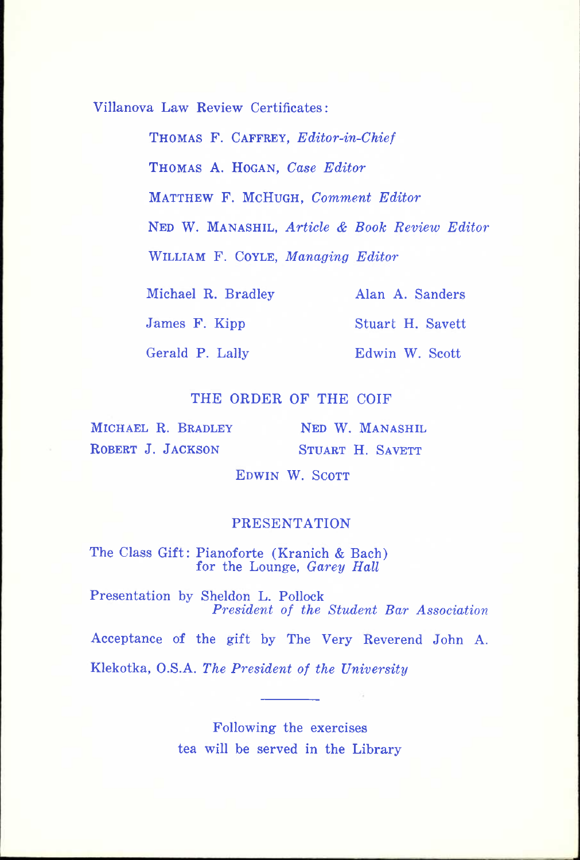**Villanova Law Review Certificates;** 

**THOMAS F. CAFFEEY,** *Editor-in-Chief*  **THOMAS A. HOGAN,** *Case Editor*  **MATTHEW F. MCHUGH,** *Comment Editor*  **NED W. MANASHIL,** *Article & Book Review Editor*  **WILLIAM F. COYLE,** *Managing Editor* 

**Michael R. Bradley Alan A. Sanders** 

**James F. Kipp Stuart H. Savett** 

**Gerald P. Lally Edwin W. Scott** 

#### **THE ORDER OF THE COIF**

**MICHAEL R. BRADLEY ROBERT J. JACKSON** 

**NED W. MANASHIL STUART H. SAVETT** 

**EDWIN W. SCOTT** 

#### **PRESENTATION**

**The Class Gift: Pianoforte (Kranich & Bach) for the Lounge,** *Garey Hall* 

**Presentation by Sheldon L. Pollock**  *President of the Student Bar Association* 

**Acceptance of the gift by The Very Reverend John A.** 

**Klekotka, O.S.A.** *The President of the University* 

**Following the exercises tea will be served in the Library**